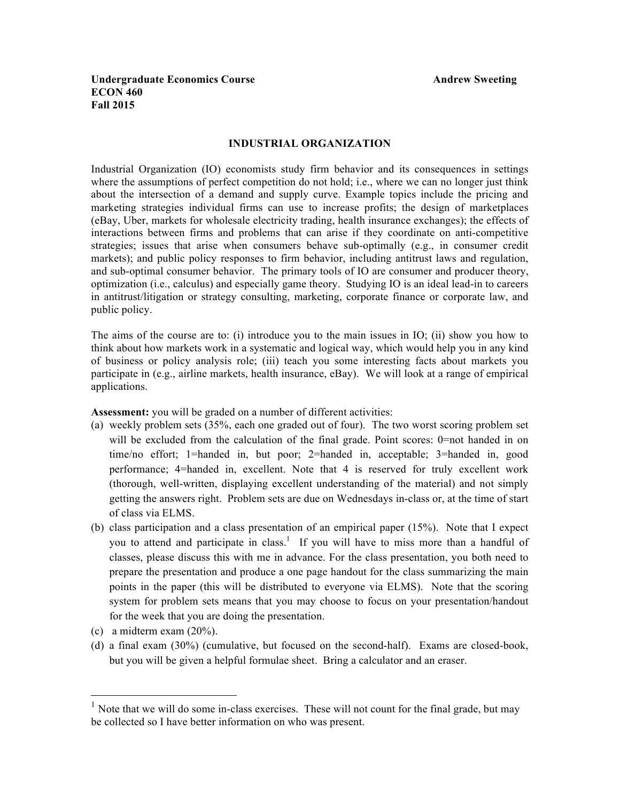## **Undergraduate Economics Course Andrew Sweeting Andrew Sweeting ECON 460 Fall 2015**

#### **INDUSTRIAL ORGANIZATION**

Industrial Organization (IO) economists study firm behavior and its consequences in settings where the assumptions of perfect competition do not hold; i.e., where we can no longer just think about the intersection of a demand and supply curve. Example topics include the pricing and marketing strategies individual firms can use to increase profits; the design of marketplaces (eBay, Uber, markets for wholesale electricity trading, health insurance exchanges); the effects of interactions between firms and problems that can arise if they coordinate on anti-competitive strategies; issues that arise when consumers behave sub-optimally (e.g., in consumer credit markets); and public policy responses to firm behavior, including antitrust laws and regulation, and sub-optimal consumer behavior. The primary tools of IO are consumer and producer theory, optimization (i.e., calculus) and especially game theory. Studying IO is an ideal lead-in to careers in antitrust/litigation or strategy consulting, marketing, corporate finance or corporate law, and public policy.

The aims of the course are to: (i) introduce you to the main issues in IO; (ii) show you how to think about how markets work in a systematic and logical way, which would help you in any kind of business or policy analysis role; (iii) teach you some interesting facts about markets you participate in (e.g., airline markets, health insurance, eBay). We will look at a range of empirical applications.

**Assessment:** you will be graded on a number of different activities:

- (a) weekly problem sets (35%, each one graded out of four). The two worst scoring problem set will be excluded from the calculation of the final grade. Point scores: 0=not handed in on time/no effort; 1=handed in, but poor; 2=handed in, acceptable; 3=handed in, good performance; 4=handed in, excellent. Note that 4 is reserved for truly excellent work (thorough, well-written, displaying excellent understanding of the material) and not simply getting the answers right. Problem sets are due on Wednesdays in-class or, at the time of start of class via ELMS.
- (b) class participation and a class presentation of an empirical paper (15%). Note that I expect you to attend and participate in class.<sup>1</sup> If you will have to miss more than a handful of classes, please discuss this with me in advance. For the class presentation, you both need to prepare the presentation and produce a one page handout for the class summarizing the main points in the paper (this will be distributed to everyone via ELMS). Note that the scoring system for problem sets means that you may choose to focus on your presentation/handout for the week that you are doing the presentation.
- (c) a midterm exam (20%).
- (d) a final exam (30%) (cumulative, but focused on the second-half). Exams are closed-book, but you will be given a helpful formulae sheet. Bring a calculator and an eraser.

 $<sup>1</sup>$  Note that we will do some in-class exercises. These will not count for the final grade, but may</sup> be collected so I have better information on who was present.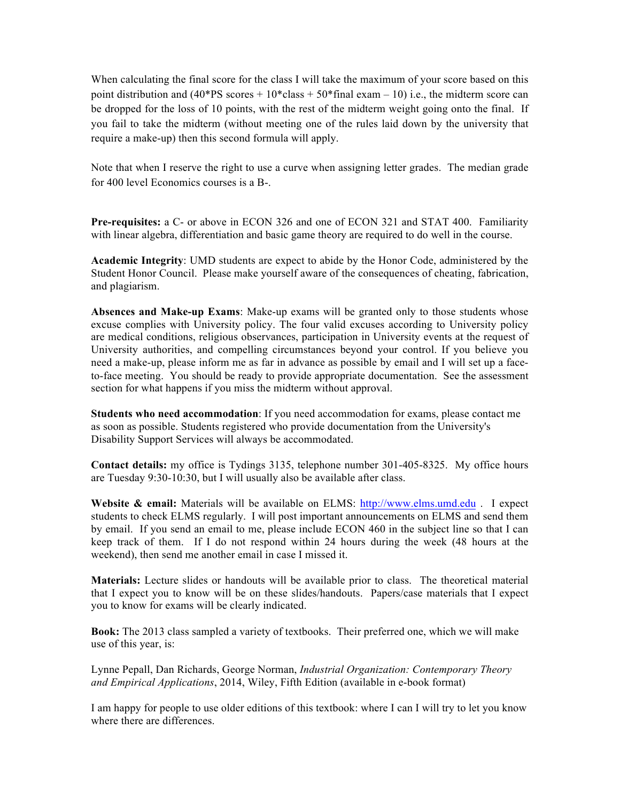When calculating the final score for the class I will take the maximum of your score based on this point distribution and  $(40*PS \text{ scores} + 10*class + 50*final \text{ exam} - 10)$  i.e., the midterm score can be dropped for the loss of 10 points, with the rest of the midterm weight going onto the final. If you fail to take the midterm (without meeting one of the rules laid down by the university that require a make-up) then this second formula will apply.

Note that when I reserve the right to use a curve when assigning letter grades. The median grade for 400 level Economics courses is a B-.

**Pre-requisites:** a C- or above in ECON 326 and one of ECON 321 and STAT 400. Familiarity with linear algebra, differentiation and basic game theory are required to do well in the course.

**Academic Integrity**: UMD students are expect to abide by the Honor Code, administered by the Student Honor Council. Please make yourself aware of the consequences of cheating, fabrication, and plagiarism.

**Absences and Make-up Exams**: Make-up exams will be granted only to those students whose excuse complies with University policy. The four valid excuses according to University policy are medical conditions, religious observances, participation in University events at the request of University authorities, and compelling circumstances beyond your control. If you believe you need a make-up, please inform me as far in advance as possible by email and I will set up a faceto-face meeting. You should be ready to provide appropriate documentation. See the assessment section for what happens if you miss the midterm without approval.

**Students who need accommodation**: If you need accommodation for exams, please contact me as soon as possible. Students registered who provide documentation from the University's Disability Support Services will always be accommodated.

**Contact details:** my office is Tydings 3135, telephone number 301-405-8325. My office hours are Tuesday 9:30-10:30, but I will usually also be available after class.

**Website & email:** Materials will be available on ELMS: http://www.elms.umd.edu . I expect students to check ELMS regularly. I will post important announcements on ELMS and send them by email. If you send an email to me, please include ECON 460 in the subject line so that I can keep track of them. If I do not respond within 24 hours during the week (48 hours at the weekend), then send me another email in case I missed it.

**Materials:** Lecture slides or handouts will be available prior to class. The theoretical material that I expect you to know will be on these slides/handouts. Papers/case materials that I expect you to know for exams will be clearly indicated.

**Book:** The 2013 class sampled a variety of textbooks. Their preferred one, which we will make use of this year, is:

Lynne Pepall, Dan Richards, George Norman, *Industrial Organization: Contemporary Theory and Empirical Applications*, 2014, Wiley, Fifth Edition (available in e-book format)

I am happy for people to use older editions of this textbook: where I can I will try to let you know where there are differences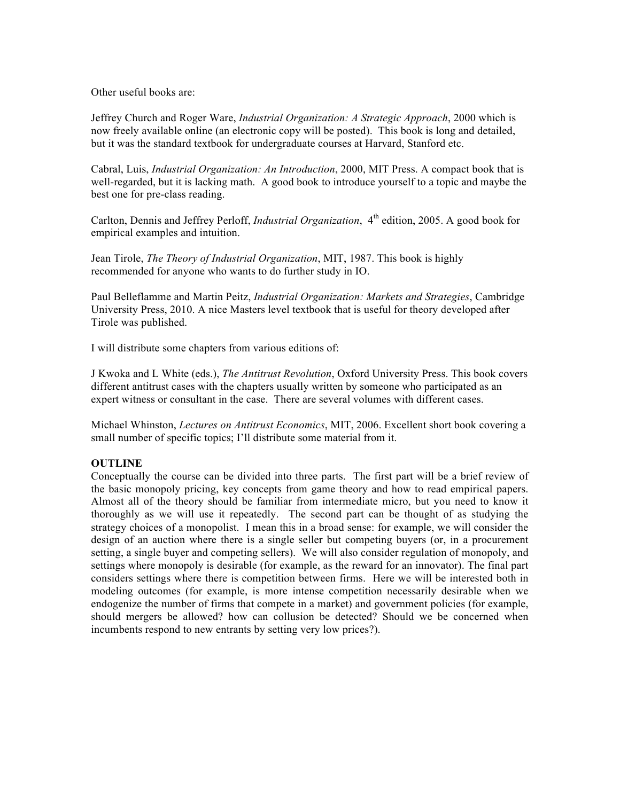Other useful books are:

Jeffrey Church and Roger Ware, *Industrial Organization: A Strategic Approach*, 2000 which is now freely available online (an electronic copy will be posted). This book is long and detailed, but it was the standard textbook for undergraduate courses at Harvard, Stanford etc.

Cabral, Luis, *Industrial Organization: An Introduction*, 2000, MIT Press. A compact book that is well-regarded, but it is lacking math. A good book to introduce yourself to a topic and maybe the best one for pre-class reading.

Carlton, Dennis and Jeffrey Perloff, *Industrial Organization*, 4<sup>th</sup> edition, 2005. A good book for empirical examples and intuition.

Jean Tirole, *The Theory of Industrial Organization*, MIT, 1987. This book is highly recommended for anyone who wants to do further study in IO.

Paul Belleflamme and Martin Peitz, *Industrial Organization: Markets and Strategies*, Cambridge University Press, 2010. A nice Masters level textbook that is useful for theory developed after Tirole was published.

I will distribute some chapters from various editions of:

J Kwoka and L White (eds.), *The Antitrust Revolution*, Oxford University Press. This book covers different antitrust cases with the chapters usually written by someone who participated as an expert witness or consultant in the case. There are several volumes with different cases.

Michael Whinston, *Lectures on Antitrust Economics*, MIT, 2006. Excellent short book covering a small number of specific topics; I'll distribute some material from it.

## **OUTLINE**

Conceptually the course can be divided into three parts. The first part will be a brief review of the basic monopoly pricing, key concepts from game theory and how to read empirical papers. Almost all of the theory should be familiar from intermediate micro, but you need to know it thoroughly as we will use it repeatedly. The second part can be thought of as studying the strategy choices of a monopolist. I mean this in a broad sense: for example, we will consider the design of an auction where there is a single seller but competing buyers (or, in a procurement setting, a single buyer and competing sellers). We will also consider regulation of monopoly, and settings where monopoly is desirable (for example, as the reward for an innovator). The final part considers settings where there is competition between firms. Here we will be interested both in modeling outcomes (for example, is more intense competition necessarily desirable when we endogenize the number of firms that compete in a market) and government policies (for example, should mergers be allowed? how can collusion be detected? Should we be concerned when incumbents respond to new entrants by setting very low prices?).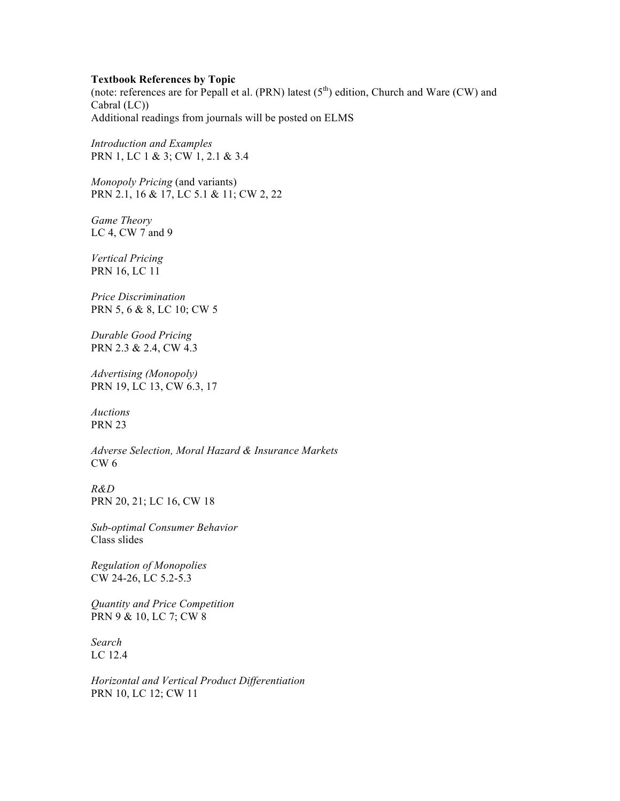### **Textbook References by Topic**

(note: references are for Pepall et al. (PRN) latest  $(5<sup>th</sup>)$  edition, Church and Ware (CW) and Cabral (LC)) Additional readings from journals will be posted on ELMS

*Introduction and Examples* PRN 1, LC 1 & 3; CW 1, 2.1 & 3.4

*Monopoly Pricing* (and variants) PRN 2.1, 16 & 17, LC 5.1 & 11; CW 2, 22

*Game Theory* LC 4, CW 7 and 9

*Vertical Pricing* PRN 16, LC 11

*Price Discrimination* PRN 5, 6 & 8, LC 10; CW 5

*Durable Good Pricing* PRN 2.3 & 2.4, CW 4.3

*Advertising (Monopoly)* PRN 19, LC 13, CW 6.3, 17

*Auctions* PRN 23

*Adverse Selection, Moral Hazard & Insurance Markets* CW 6

*R&D* PRN 20, 21; LC 16, CW 18

*Sub-optimal Consumer Behavior* Class slides

*Regulation of Monopolies* CW 24-26, LC 5.2-5.3

*Quantity and Price Competition* PRN 9 & 10, LC 7; CW 8

*Search* LC 12.4

*Horizontal and Vertical Product Differentiation* PRN 10, LC 12; CW 11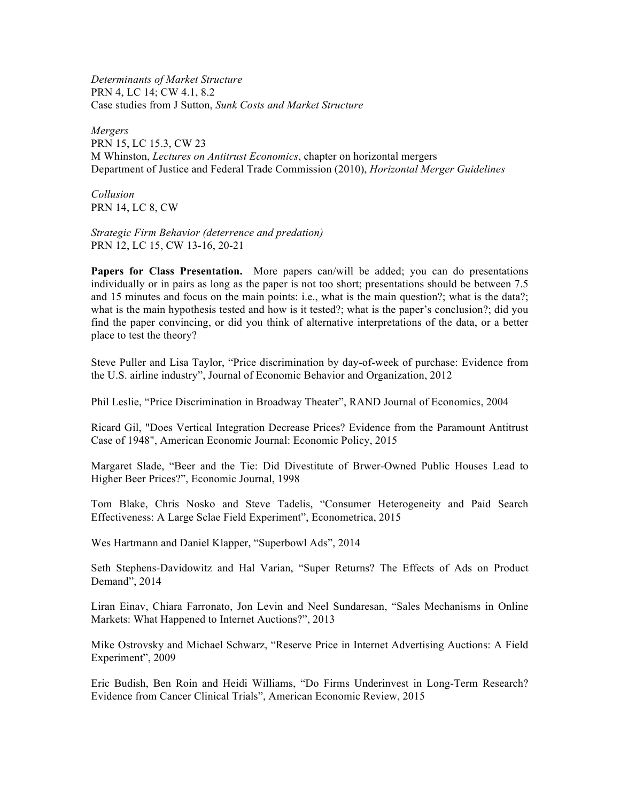*Determinants of Market Structure* PRN 4, LC 14; CW 4.1, 8.2 Case studies from J Sutton, *Sunk Costs and Market Structure*

*Mergers* PRN 15, LC 15.3, CW 23 M Whinston, *Lectures on Antitrust Economics*, chapter on horizontal mergers Department of Justice and Federal Trade Commission (2010), *Horizontal Merger Guidelines*

*Collusion* PRN 14, LC 8, CW

*Strategic Firm Behavior (deterrence and predation)* PRN 12, LC 15, CW 13-16, 20-21

**Papers for Class Presentation.** More papers can/will be added; you can do presentations individually or in pairs as long as the paper is not too short; presentations should be between 7.5 and 15 minutes and focus on the main points: i.e., what is the main question?; what is the data?; what is the main hypothesis tested and how is it tested?; what is the paper's conclusion?; did you find the paper convincing, or did you think of alternative interpretations of the data, or a better place to test the theory?

Steve Puller and Lisa Taylor, "Price discrimination by day-of-week of purchase: Evidence from the U.S. airline industry", Journal of Economic Behavior and Organization, 2012

Phil Leslie, "Price Discrimination in Broadway Theater", RAND Journal of Economics, 2004

Ricard Gil, "Does Vertical Integration Decrease Prices? Evidence from the Paramount Antitrust Case of 1948", American Economic Journal: Economic Policy, 2015

Margaret Slade, "Beer and the Tie: Did Divestitute of Brwer-Owned Public Houses Lead to Higher Beer Prices?", Economic Journal, 1998

Tom Blake, Chris Nosko and Steve Tadelis, "Consumer Heterogeneity and Paid Search Effectiveness: A Large Sclae Field Experiment", Econometrica, 2015

Wes Hartmann and Daniel Klapper, "Superbowl Ads", 2014

Seth Stephens-Davidowitz and Hal Varian, "Super Returns? The Effects of Ads on Product Demand", 2014

Liran Einav, Chiara Farronato, Jon Levin and Neel Sundaresan, "Sales Mechanisms in Online Markets: What Happened to Internet Auctions?", 2013

Mike Ostrovsky and Michael Schwarz, "Reserve Price in Internet Advertising Auctions: A Field Experiment", 2009

Eric Budish, Ben Roin and Heidi Williams, "Do Firms Underinvest in Long-Term Research? Evidence from Cancer Clinical Trials", American Economic Review, 2015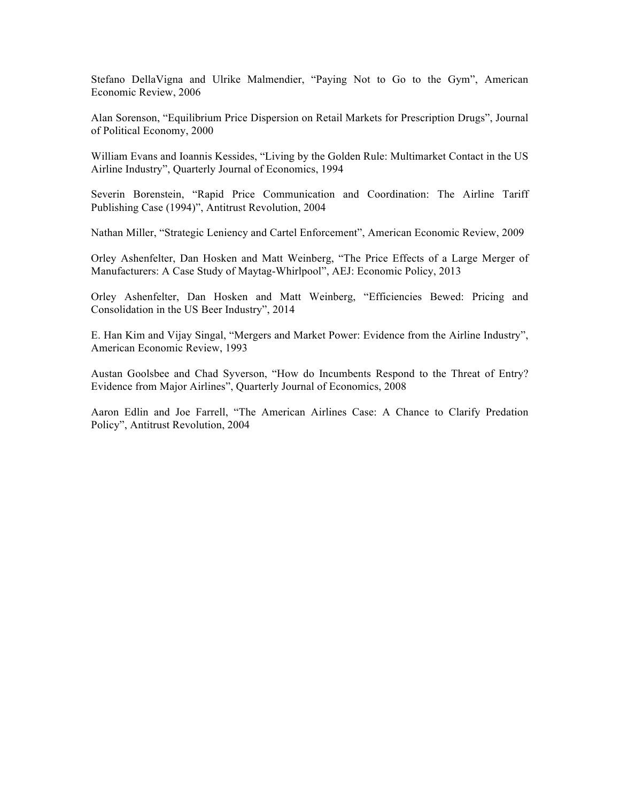Stefano DellaVigna and Ulrike Malmendier, "Paying Not to Go to the Gym", American Economic Review, 2006

Alan Sorenson, "Equilibrium Price Dispersion on Retail Markets for Prescription Drugs", Journal of Political Economy, 2000

William Evans and Ioannis Kessides, "Living by the Golden Rule: Multimarket Contact in the US Airline Industry", Quarterly Journal of Economics, 1994

Severin Borenstein, "Rapid Price Communication and Coordination: The Airline Tariff Publishing Case (1994)", Antitrust Revolution, 2004

Nathan Miller, "Strategic Leniency and Cartel Enforcement", American Economic Review, 2009

Orley Ashenfelter, Dan Hosken and Matt Weinberg, "The Price Effects of a Large Merger of Manufacturers: A Case Study of Maytag-Whirlpool", AEJ: Economic Policy, 2013

Orley Ashenfelter, Dan Hosken and Matt Weinberg, "Efficiencies Bewed: Pricing and Consolidation in the US Beer Industry", 2014

E. Han Kim and Vijay Singal, "Mergers and Market Power: Evidence from the Airline Industry", American Economic Review, 1993

Austan Goolsbee and Chad Syverson, "How do Incumbents Respond to the Threat of Entry? Evidence from Major Airlines", Quarterly Journal of Economics, 2008

Aaron Edlin and Joe Farrell, "The American Airlines Case: A Chance to Clarify Predation Policy", Antitrust Revolution, 2004